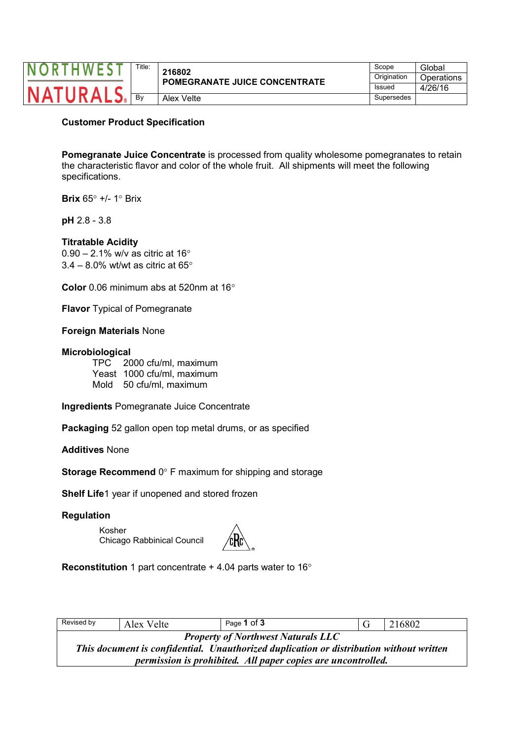|  | Title: | 216802                               | Scope       | Global     |
|--|--------|--------------------------------------|-------------|------------|
|  |        | <b>POMEGRANATE JUICE CONCENTRATE</b> | Origination | Operations |
|  |        |                                      | Issued      | 4/26/16    |
|  | Bv     | Alex Velte                           | Supersedes  |            |

### **Customer Product Specification**

**Pomegranate Juice Concentrate** is processed from quality wholesome pomegranates to retain the characteristic flavor and color of the whole fruit. All shipments will meet the following specifications.

**Brix**  $65^\circ$  +/- 1° Brix

**pH** 2.8 - 3.8

#### **Titratable Acidity**

 $0.90 - 2.1\%$  w/v as citric at 16 $^{\circ}$  $3.4 - 8.0\%$  wt/wt as citric at 65 $^{\circ}$ 

**Color** 0.06 minimum abs at 520nm at 16

**Flavor** Typical of Pomegranate

**Foreign Materials** None

#### **Microbiological**

TPC 2000 cfu/ml, maximum Yeast 1000 cfu/ml, maximum Mold 50 cfu/ml, maximum

**Ingredients** Pomegranate Juice Concentrate

**Packaging** 52 gallon open top metal drums, or as specified

**Additives** None

**Storage Recommend** 0° F maximum for shipping and storage

**Shelf Life**1 year if unopened and stored frozen

#### **Regulation**

Kosher Chicago Rabbinical Council



**Reconstitution** 1 part concentrate + 4.04 parts water to 16

| Revised by                                                                              | Alex Velte | Page 1 of 3 |  | 216802 |  |
|-----------------------------------------------------------------------------------------|------------|-------------|--|--------|--|
| <b>Property of Northwest Naturals LLC</b>                                               |            |             |  |        |  |
| This document is confidential. Unauthorized duplication or distribution without written |            |             |  |        |  |
| permission is prohibited. All paper copies are uncontrolled.                            |            |             |  |        |  |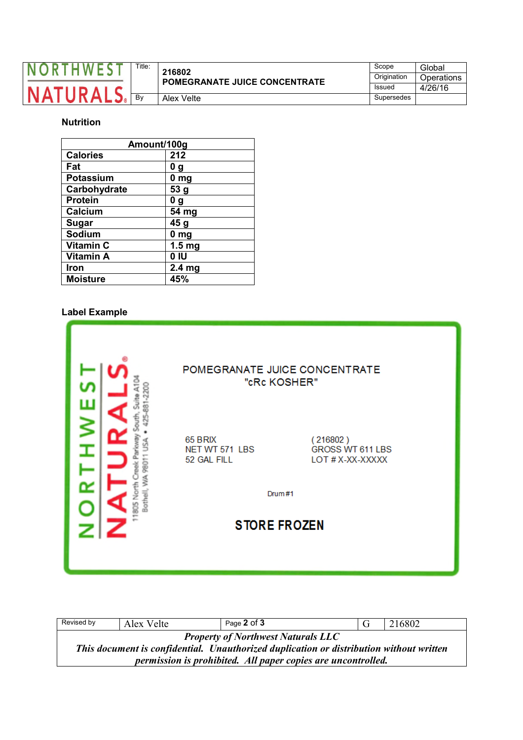|  | $\tau$ itle: | 216802<br><b>POMEGRANATE JUICE CONCENTRATE</b> | Scope         | Global     |
|--|--------------|------------------------------------------------|---------------|------------|
|  |              |                                                | Origination   | Operations |
|  |              |                                                | <b>Issued</b> | 4/26/16    |
|  | Bv           | Alex Velte                                     | Supersedes    |            |

# **Nutrition**

| Amount/100g      |                   |  |  |  |
|------------------|-------------------|--|--|--|
| <b>Calories</b>  | 212               |  |  |  |
| Fat              | 0 g               |  |  |  |
| Potassium        | 0 <sub>mg</sub>   |  |  |  |
| Carbohydrate     | 53 g              |  |  |  |
| <b>Protein</b>   | 0 g               |  |  |  |
| Calcium          | 54 mg             |  |  |  |
| <b>Sugar</b>     | 45 g              |  |  |  |
| Sodium           | 0 <sub>mg</sub>   |  |  |  |
| <b>Vitamin C</b> | 1.5 <sub>mg</sub> |  |  |  |
| <b>Vitamin A</b> | 0 IU              |  |  |  |
| Iron             | 2.4 <sub>mg</sub> |  |  |  |
| <b>Moisture</b>  | 45%               |  |  |  |

## **Label Example**

|                       |                                          | POMEGRANATE JUICE CONCENTRATE<br>"cRc KOSHER"    |
|-----------------------|------------------------------------------|--------------------------------------------------|
| 78011                 | 65 BRIX<br>NET WT 571 LBS<br>52 GAL FILL | (216802)<br>GROSS WT 611 LBS<br>LOT # X-XX-XXXXX |
| Bothell, WA<br>훈<br>드 |                                          | Drum#1                                           |
|                       | <b>STORE FROZEN</b>                      |                                                  |
|                       |                                          |                                                  |

| Revised by                                                                                                                           | Alex Velte | Page 2 of 3 |  | 216802 |  |
|--------------------------------------------------------------------------------------------------------------------------------------|------------|-------------|--|--------|--|
| <b>Property of Northwest Naturals LLC</b><br>This document is confidential. Unauthorized duplication or distribution without written |            |             |  |        |  |
| <i>permission is prohibited. All paper copies are uncontrolled.</i>                                                                  |            |             |  |        |  |